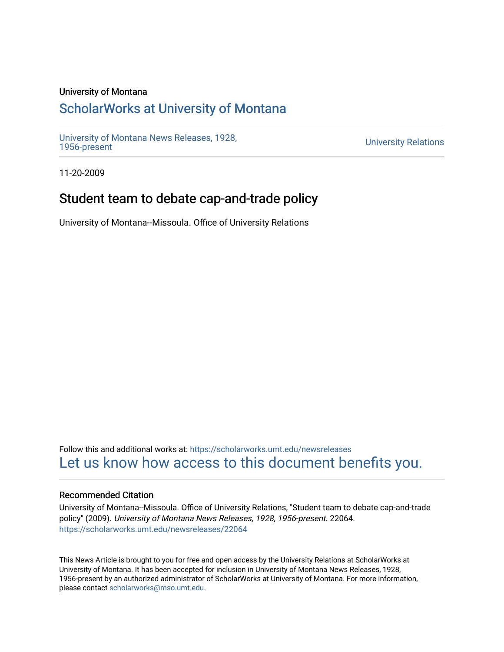#### University of Montana

## [ScholarWorks at University of Montana](https://scholarworks.umt.edu/)

[University of Montana News Releases, 1928,](https://scholarworks.umt.edu/newsreleases) 

**University Relations** 

11-20-2009

## Student team to debate cap-and-trade policy

University of Montana--Missoula. Office of University Relations

Follow this and additional works at: [https://scholarworks.umt.edu/newsreleases](https://scholarworks.umt.edu/newsreleases?utm_source=scholarworks.umt.edu%2Fnewsreleases%2F22064&utm_medium=PDF&utm_campaign=PDFCoverPages) [Let us know how access to this document benefits you.](https://goo.gl/forms/s2rGfXOLzz71qgsB2) 

#### Recommended Citation

University of Montana--Missoula. Office of University Relations, "Student team to debate cap-and-trade policy" (2009). University of Montana News Releases, 1928, 1956-present. 22064. [https://scholarworks.umt.edu/newsreleases/22064](https://scholarworks.umt.edu/newsreleases/22064?utm_source=scholarworks.umt.edu%2Fnewsreleases%2F22064&utm_medium=PDF&utm_campaign=PDFCoverPages) 

This News Article is brought to you for free and open access by the University Relations at ScholarWorks at University of Montana. It has been accepted for inclusion in University of Montana News Releases, 1928, 1956-present by an authorized administrator of ScholarWorks at University of Montana. For more information, please contact [scholarworks@mso.umt.edu.](mailto:scholarworks@mso.umt.edu)